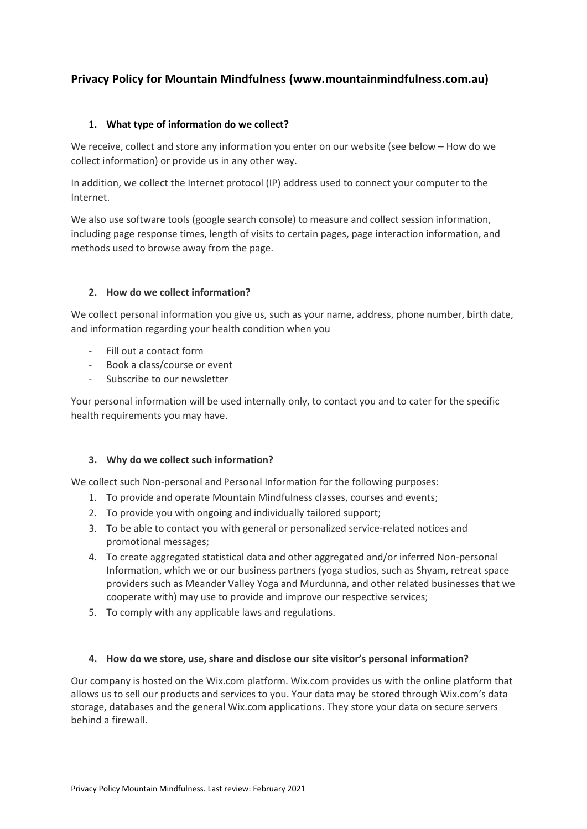# **Privacy Policy for Mountain Mindfulness (www.mountainmindfulness.com.au)**

## **1. What type of information do we collect?**

We receive, collect and store any information you enter on our website (see below – How do we collect information) or provide us in any other way.

In addition, we collect the Internet protocol (IP) address used to connect your computer to the Internet.

We also use software tools (google search console) to measure and collect session information, including page response times, length of visits to certain pages, page interaction information, and methods used to browse away from the page.

## **2. How do we collect information?**

We collect personal information you give us, such as your name, address, phone number, birth date, and information regarding your health condition when you

- Fill out a contact form
- Book a class/course or event
- Subscribe to our newsletter

Your personal information will be used internally only, to contact you and to cater for the specific health requirements you may have.

# **3. Why do we collect such information?**

We collect such Non-personal and Personal Information for the following purposes:

- 1. To provide and operate Mountain Mindfulness classes, courses and events;
- 2. To provide you with ongoing and individually tailored support;
- 3. To be able to contact you with general or personalized service-related notices and promotional messages;
- 4. To create aggregated statistical data and other aggregated and/or inferred Non-personal Information, which we or our business partners (yoga studios, such as Shyam, retreat space providers such as Meander Valley Yoga and Murdunna, and other related businesses that we cooperate with) may use to provide and improve our respective services;
- 5. To comply with any applicable laws and regulations.

#### **4. How do we store, use, share and disclose our site visitor's personal information?**

Our company is hosted on the Wix.com platform. Wix.com provides us with the online platform that allows us to sell our products and services to you. Your data may be stored through Wix.com's data storage, databases and the general Wix.com applications. They store your data on secure servers behind a firewall.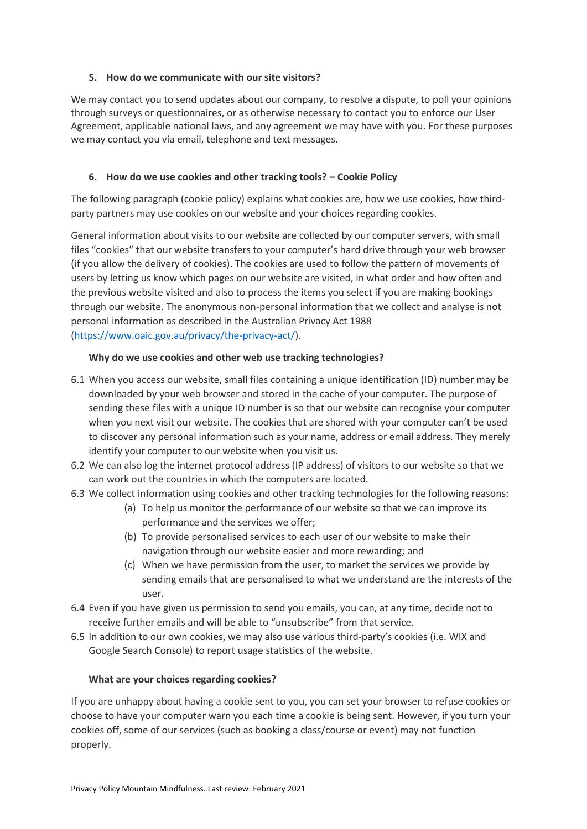## **5. How do we communicate with our site visitors?**

We may contact you to send updates about our company, to resolve a dispute, to poll your opinions through surveys or questionnaires, or as otherwise necessary to contact you to enforce our User Agreement, applicable national laws, and any agreement we may have with you. For these purposes we may contact you via email, telephone and text messages.

# **6. How do we use cookies and other tracking tools? – Cookie Policy**

The following paragraph (cookie policy) explains what cookies are, how we use cookies, how thirdparty partners may use cookies on our website and your choices regarding cookies.

General information about visits to our website are collected by our computer servers, with small files "cookies" that our website transfers to your computer's hard drive through your web browser (if you allow the delivery of cookies). The cookies are used to follow the pattern of movements of users by letting us know which pages on our website are visited, in what order and how often and the previous website visited and also to process the items you select if you are making bookings through our website. The anonymous non-personal information that we collect and analyse is not personal information as described in the Australian Privacy Act 1988 [\(https://www.oaic.gov.au/privacy/the-privacy-act/\)](https://www.oaic.gov.au/privacy/the-privacy-act/).

## **Why do we use cookies and other web use tracking technologies?**

- 6.1 When you access our website, small files containing a unique identification (ID) number may be downloaded by your web browser and stored in the cache of your computer. The purpose of sending these files with a unique ID number is so that our website can recognise your computer when you next visit our website. The cookies that are shared with your computer can't be used to discover any personal information such as your name, address or email address. They merely identify your computer to our website when you visit us.
- 6.2 We can also log the internet protocol address (IP address) of visitors to our website so that we can work out the countries in which the computers are located.
- 6.3 We collect information using cookies and other tracking technologies for the following reasons:
	- (a) To help us monitor the performance of our website so that we can improve its performance and the services we offer;
	- (b) To provide personalised services to each user of our website to make their navigation through our website easier and more rewarding; and
	- (c) When we have permission from the user, to market the services we provide by sending emails that are personalised to what we understand are the interests of the user.
- 6.4 Even if you have given us permission to send you emails, you can, at any time, decide not to receive further emails and will be able to "unsubscribe" from that service.
- 6.5 In addition to our own cookies, we may also use various third-party's cookies (i.e. WIX and Google Search Console) to report usage statistics of the website.

#### **What are your choices regarding cookies?**

If you are unhappy about having a cookie sent to you, you can set your browser to refuse cookies or choose to have your computer warn you each time a cookie is being sent. However, if you turn your cookies off, some of our services (such as booking a class/course or event) may not function properly.